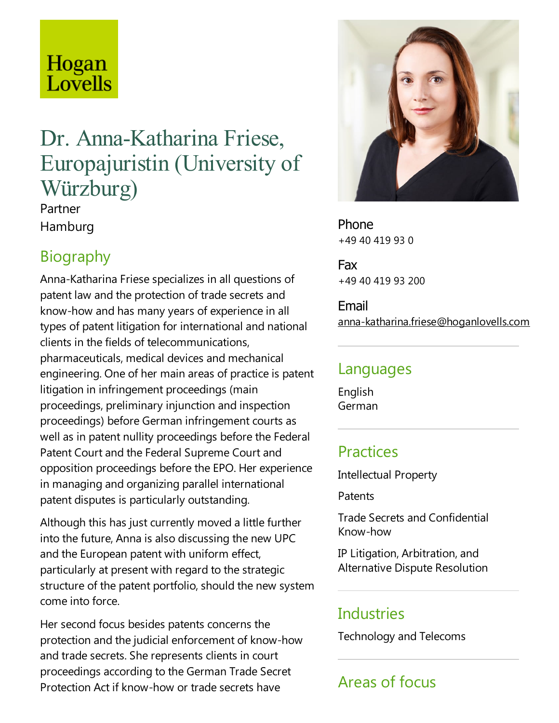# Hogan Lovells

## Dr. Anna-Katharina Friese, Europajuristin (University of Würzburg)

Partner Hamburg

## **Biography**

Anna-Katharina Friese specializes in all questions of patent law and the protection of trade secrets and know-how and has many years of experience in all types of patent litigation for international and national clients in the fields of telecommunications, pharmaceuticals, medical devices and mechanical engineering. One of her main areas of practice is patent litigation in infringement proceedings (main proceedings, preliminary injunction and inspection proceedings) before German infringement courts as well as in patent nullity proceedings before the Federal Patent Court and the Federal Supreme Court and opposition proceedings before the EPO. Her experience in managing and organizing parallel international patent disputes is particularly outstanding.

Although this has just currently moved a little further into the future, Anna is also discussing the new UPC and the European patent with uniform effect, particularly at present with regard to the strategic structure of the patent portfolio, should the new system come into force.

Her second focus besides patents concerns the protection and the judicial enforcement of know-how and trade secrets. She represents clients in court proceedings according to the German Trade Secret Protection Act if know-how or trade secrets have



Phone +49 40 419 93 0

Fax +49 40 419 93 200

Email anna-katharina.friese@hoganlovells.com

#### Languages

English German

#### **Practices**

Intellectual Property

**Patents** 

Trade Secrets and Confidential Know-how

IP Litigation, Arbitration, and Alternative Dispute Resolution

#### **Industries**

Technology and Telecoms

## Areas of focus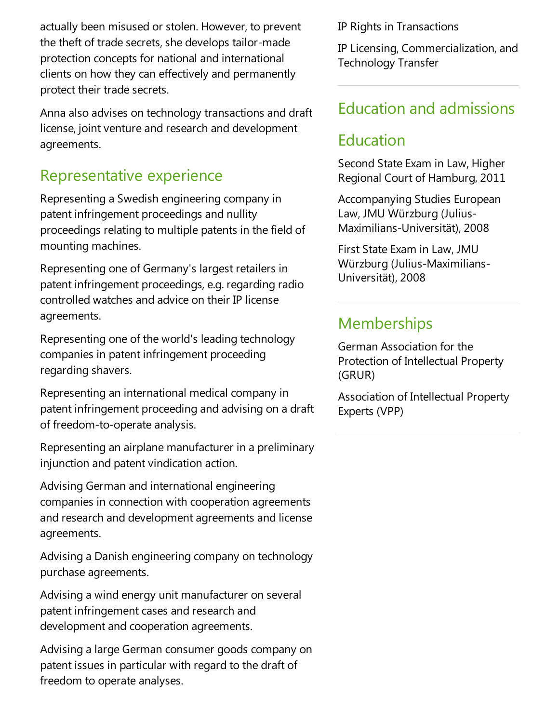actually been misused or stolen. However, to prevent the theft of trade secrets, she develops tailor-made protection concepts for national and international clients on how they can effectively and permanently protect their trade secrets.

Anna also advises on technology transactions and draft license, joint venture and research and development agreements.

#### Representative experience

Representing a Swedish engineering company in patent infringement proceedings and nullity proceedings relating to multiple patents in the field of mounting machines.

Representing one of Germany's largest retailers in patent infringement proceedings, e.g. regarding radio controlled watches and advice on their IP license agreements.

Representing one of the world's leading technology companies in patent infringement proceeding regarding shavers.

Representing an international medical company in patent infringement proceeding and advising on a draft of freedom-to-operate analysis.

Representing an airplane manufacturer in a preliminary injunction and patent vindication action.

Advising German and international engineering companies in connection with cooperation agreements and research and development agreements and license agreements.

Advising a Danish engineering company on technology purchase agreements.

Advising a wind energy unit manufacturer on several patent infringement cases and research and development and cooperation agreements.

Advising alarge German consumer goods company on patent issues in particular with regard to the draft of freedom to operate analyses.

IP Rights in Transactions

IP Licensing, Commercialization, and Technology Transfer

#### Education and admissions

#### Education

Second State Exam in Law, Higher Regional Court of Hamburg, 2011

Accompanying Studies European Law, JMU Würzburg (Julius-Maximilians-Universität), 2008

First State Exam in Law, JMU Würzburg (Julius-Maximilians-Universität), 2008

#### Memberships

German Association for the Protection of Intellectual Property (GRUR)

Association of Intellectual Property Experts (VPP)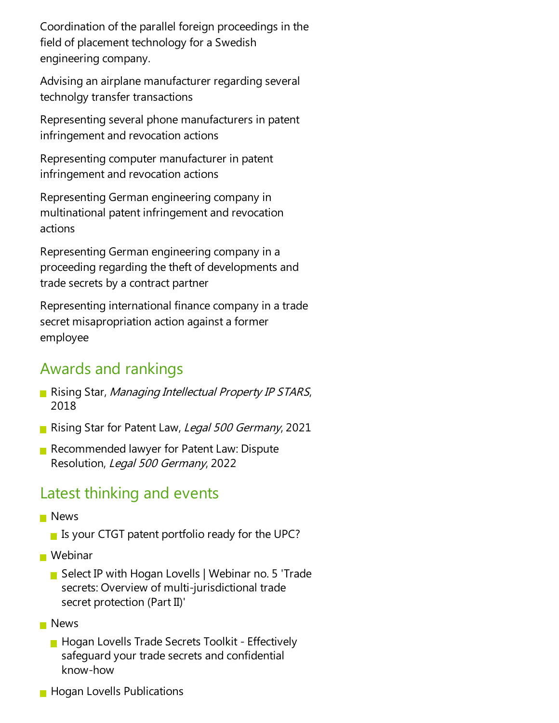Coordination of the parallel foreign proceedings in the field of placement technology for a Swedish engineering company.

Advising an airplane manufacturer regarding several technolgy transfer transactions

Representing several phone manufacturers in patent infringement and revocation actions

Representing computer manufacturer in patent infringement and revocation actions

Representing German engineering company in multinational patent infringement and revocation actions

Representing German engineering company in a proceeding regarding the theft of developments and trade secrets by a contract partner

Representing international finance company in a trade secret misapropriation action against a former employee

#### Awards and rankings

- Rising Star, Managing Intellectual Property IP STARS, 2018
- Rising Star for Patent Law, Legal 500 Germany, 2021
- Recommended lawyer for Patent Law: Dispute Resolution, Legal 500 Germany, 2022

#### Latest thinking and events

- **News** 
	- Is your CTGT patent portfolio ready for the UPC?
- Webinar
	- Select IP with Hogan Lovells | Webinar no. 5 'Trade secrets: Overview of multi-jurisdictional trade secret protection (Part II)'
- **News** 
	- **Hogan Lovells Trade Secrets Toolkit Effectively** safequard your trade secrets and confidential know-how
- **Hogan Lovells Publications**